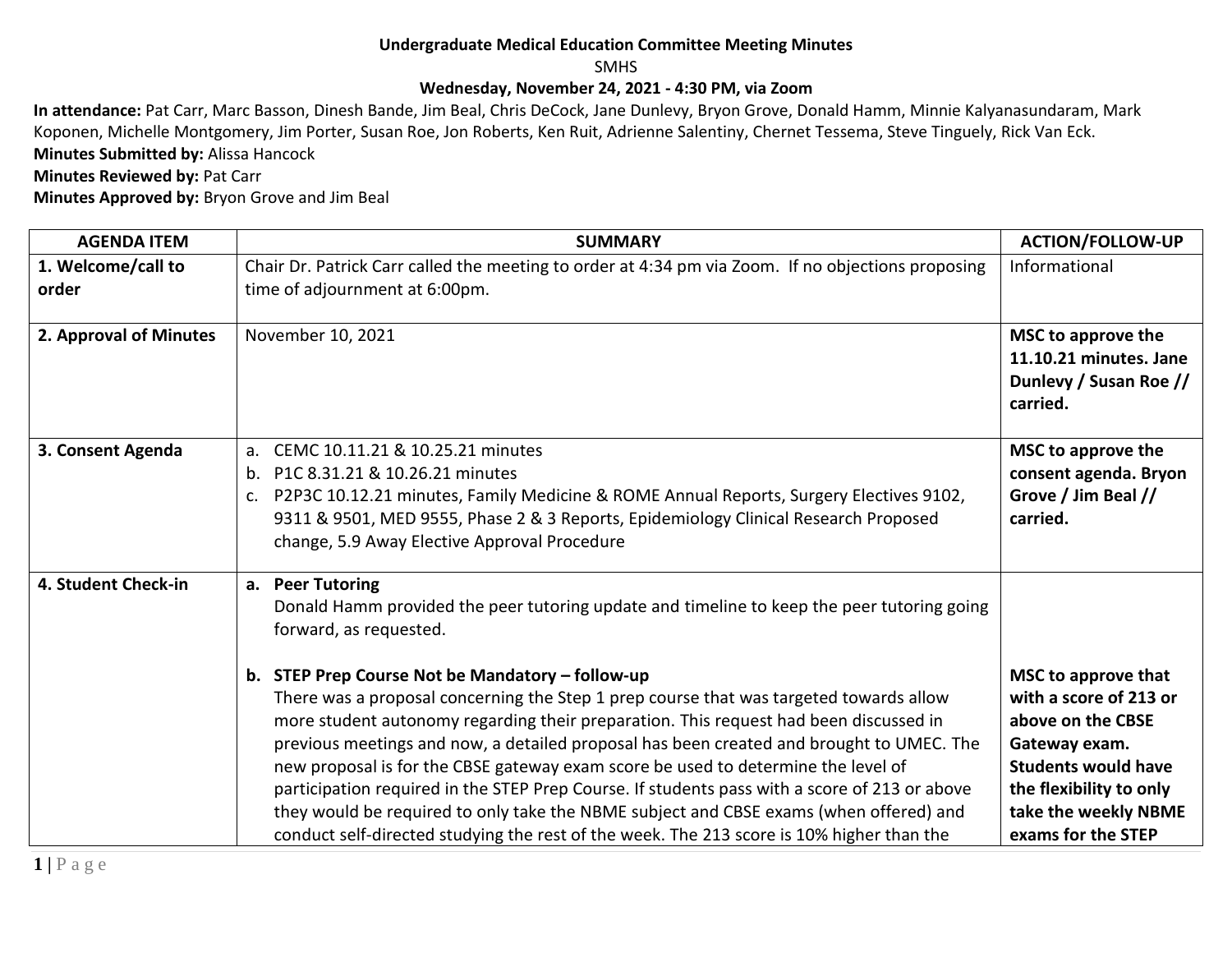## **Undergraduate Medical Education Committee Meeting Minutes**

SMHS

## **Wednesday, November 24, 2021 - 4:30 PM, via Zoom**

**In attendance:** Pat Carr, Marc Basson, Dinesh Bande, Jim Beal, Chris DeCock, Jane Dunlevy, Bryon Grove, Donald Hamm, Minnie Kalyanasundaram, Mark Koponen, Michelle Montgomery, Jim Porter, Susan Roe, Jon Roberts, Ken Ruit, Adrienne Salentiny, Chernet Tessema, Steve Tinguely, Rick Van Eck. **Minutes Submitted by:** Alissa Hancock

**Minutes Reviewed by: Pat Carr** 

**Minutes Approved by:** Bryon Grove and Jim Beal

| <b>AGENDA ITEM</b>          | <b>SUMMARY</b>                                                                                                                                                                                                                                                                                                                                                                                                                                                                                                                                                                                                                                                                                                                                                                                                                                           | <b>ACTION/FOLLOW-UP</b>                                                                                                                                                                    |
|-----------------------------|----------------------------------------------------------------------------------------------------------------------------------------------------------------------------------------------------------------------------------------------------------------------------------------------------------------------------------------------------------------------------------------------------------------------------------------------------------------------------------------------------------------------------------------------------------------------------------------------------------------------------------------------------------------------------------------------------------------------------------------------------------------------------------------------------------------------------------------------------------|--------------------------------------------------------------------------------------------------------------------------------------------------------------------------------------------|
| 1. Welcome/call to<br>order | Chair Dr. Patrick Carr called the meeting to order at 4:34 pm via Zoom. If no objections proposing<br>time of adjournment at 6:00pm.                                                                                                                                                                                                                                                                                                                                                                                                                                                                                                                                                                                                                                                                                                                     | Informational                                                                                                                                                                              |
| 2. Approval of Minutes      | November 10, 2021                                                                                                                                                                                                                                                                                                                                                                                                                                                                                                                                                                                                                                                                                                                                                                                                                                        | MSC to approve the<br>11.10.21 minutes. Jane<br>Dunlevy / Susan Roe //<br>carried.                                                                                                         |
| 3. Consent Agenda           | CEMC 10.11.21 & 10.25.21 minutes<br>$a_{\cdot}$<br>P1C 8.31.21 & 10.26.21 minutes<br>$b_{1}$<br>P2P3C 10.12.21 minutes, Family Medicine & ROME Annual Reports, Surgery Electives 9102,<br>$\mathsf{C}$ .<br>9311 & 9501, MED 9555, Phase 2 & 3 Reports, Epidemiology Clinical Research Proposed<br>change, 5.9 Away Elective Approval Procedure                                                                                                                                                                                                                                                                                                                                                                                                                                                                                                          | MSC to approve the<br>consent agenda. Bryon<br>Grove / Jim Beal //<br>carried.                                                                                                             |
| 4. Student Check-in         | a. Peer Tutoring<br>Donald Hamm provided the peer tutoring update and timeline to keep the peer tutoring going<br>forward, as requested.<br>b. STEP Prep Course Not be Mandatory - follow-up<br>There was a proposal concerning the Step 1 prep course that was targeted towards allow<br>more student autonomy regarding their preparation. This request had been discussed in<br>previous meetings and now, a detailed proposal has been created and brought to UMEC. The<br>new proposal is for the CBSE gateway exam score be used to determine the level of<br>participation required in the STEP Prep Course. If students pass with a score of 213 or above<br>they would be required to only take the NBME subject and CBSE exams (when offered) and<br>conduct self-directed studying the rest of the week. The 213 score is 10% higher than the | MSC to approve that<br>with a score of 213 or<br>above on the CBSE<br>Gateway exam.<br><b>Students would have</b><br>the flexibility to only<br>take the weekly NBME<br>exams for the STEP |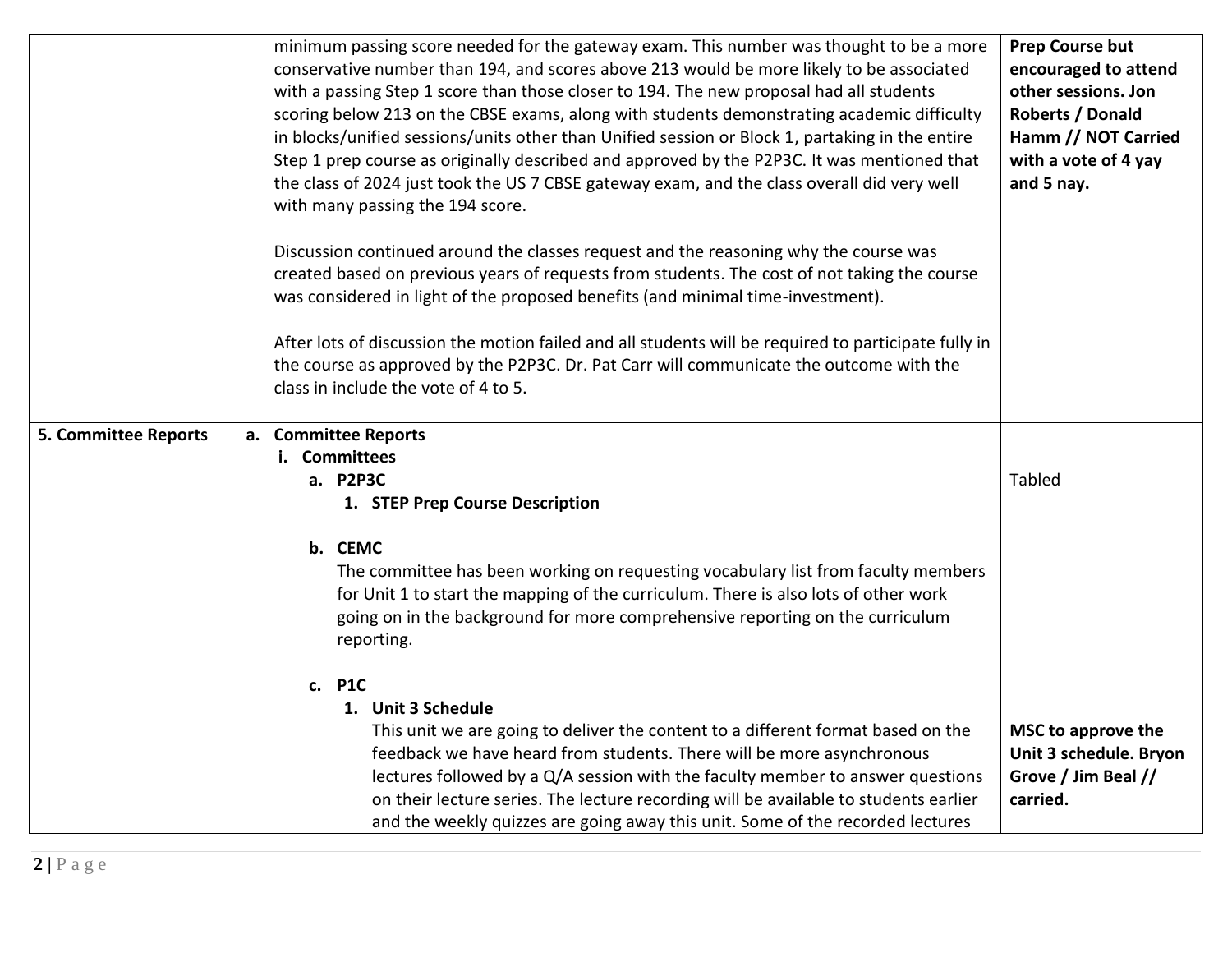|                             | minimum passing score needed for the gateway exam. This number was thought to be a more<br>conservative number than 194, and scores above 213 would be more likely to be associated<br>with a passing Step 1 score than those closer to 194. The new proposal had all students<br>scoring below 213 on the CBSE exams, along with students demonstrating academic difficulty<br>in blocks/unified sessions/units other than Unified session or Block 1, partaking in the entire<br>Step 1 prep course as originally described and approved by the P2P3C. It was mentioned that<br>the class of 2024 just took the US 7 CBSE gateway exam, and the class overall did very well<br>with many passing the 194 score.<br>Discussion continued around the classes request and the reasoning why the course was<br>created based on previous years of requests from students. The cost of not taking the course<br>was considered in light of the proposed benefits (and minimal time-investment).<br>After lots of discussion the motion failed and all students will be required to participate fully in<br>the course as approved by the P2P3C. Dr. Pat Carr will communicate the outcome with the<br>class in include the vote of 4 to 5. | <b>Prep Course but</b><br>encouraged to attend<br>other sessions. Jon<br>Roberts / Donald<br>Hamm // NOT Carried<br>with a vote of 4 yay<br>and 5 nay. |
|-----------------------------|-----------------------------------------------------------------------------------------------------------------------------------------------------------------------------------------------------------------------------------------------------------------------------------------------------------------------------------------------------------------------------------------------------------------------------------------------------------------------------------------------------------------------------------------------------------------------------------------------------------------------------------------------------------------------------------------------------------------------------------------------------------------------------------------------------------------------------------------------------------------------------------------------------------------------------------------------------------------------------------------------------------------------------------------------------------------------------------------------------------------------------------------------------------------------------------------------------------------------------------------|--------------------------------------------------------------------------------------------------------------------------------------------------------|
|                             |                                                                                                                                                                                                                                                                                                                                                                                                                                                                                                                                                                                                                                                                                                                                                                                                                                                                                                                                                                                                                                                                                                                                                                                                                                         |                                                                                                                                                        |
| <b>5. Committee Reports</b> | a. Committee Reports<br>i. Committees<br>a. P2P3C<br>1. STEP Prep Course Description                                                                                                                                                                                                                                                                                                                                                                                                                                                                                                                                                                                                                                                                                                                                                                                                                                                                                                                                                                                                                                                                                                                                                    | <b>Tabled</b>                                                                                                                                          |
|                             | b. CEMC<br>The committee has been working on requesting vocabulary list from faculty members<br>for Unit 1 to start the mapping of the curriculum. There is also lots of other work<br>going on in the background for more comprehensive reporting on the curriculum<br>reporting.                                                                                                                                                                                                                                                                                                                                                                                                                                                                                                                                                                                                                                                                                                                                                                                                                                                                                                                                                      |                                                                                                                                                        |
|                             | c. P1C<br>1. Unit 3 Schedule<br>This unit we are going to deliver the content to a different format based on the<br>feedback we have heard from students. There will be more asynchronous<br>lectures followed by a Q/A session with the faculty member to answer questions<br>on their lecture series. The lecture recording will be available to students earlier<br>and the weekly quizzes are going away this unit. Some of the recorded lectures                                                                                                                                                                                                                                                                                                                                                                                                                                                                                                                                                                                                                                                                                                                                                                                   | MSC to approve the<br>Unit 3 schedule. Bryon<br>Grove / Jim Beal //<br>carried.                                                                        |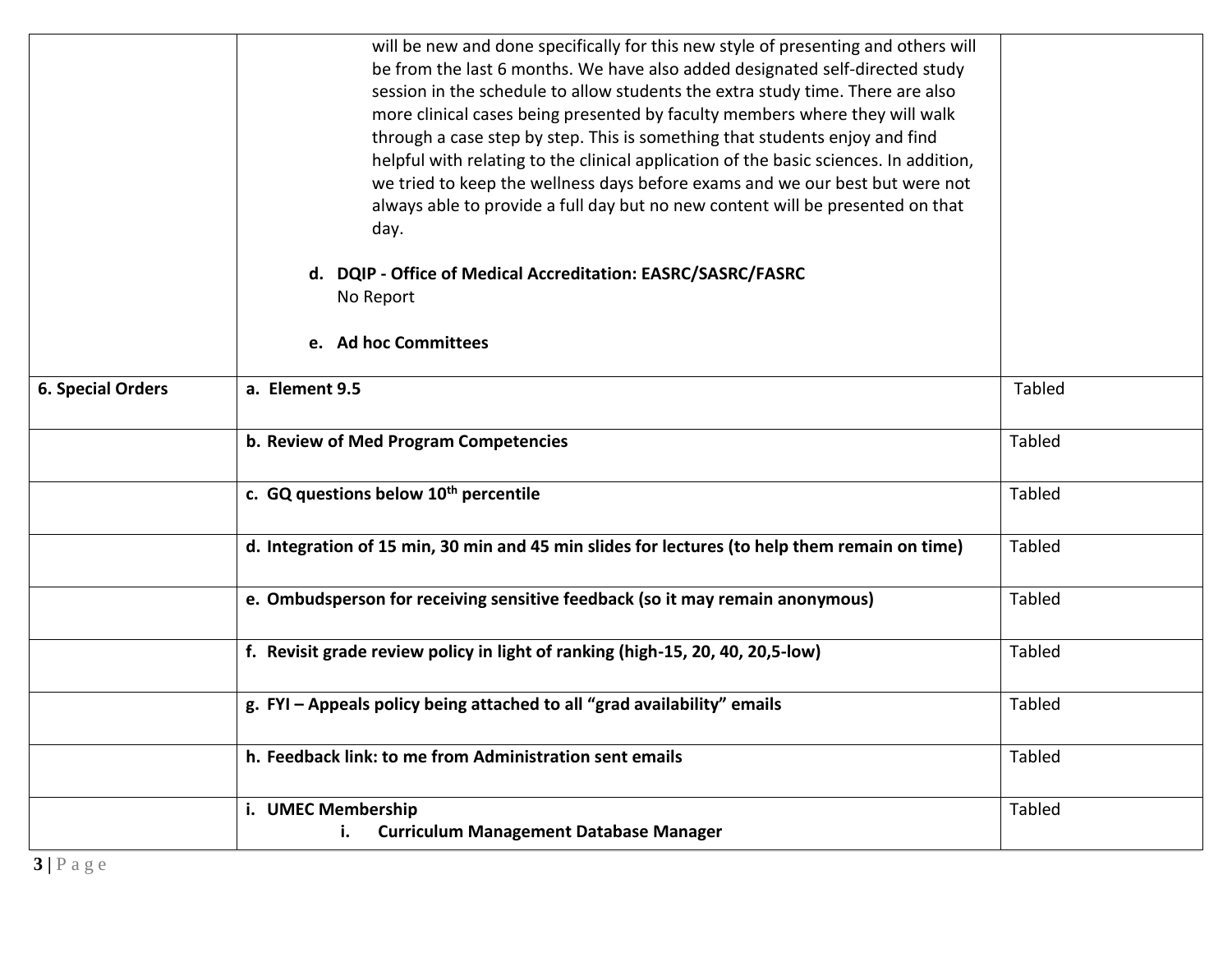|                          | will be new and done specifically for this new style of presenting and others will<br>be from the last 6 months. We have also added designated self-directed study<br>session in the schedule to allow students the extra study time. There are also<br>more clinical cases being presented by faculty members where they will walk<br>through a case step by step. This is something that students enjoy and find<br>helpful with relating to the clinical application of the basic sciences. In addition,<br>we tried to keep the wellness days before exams and we our best but were not<br>always able to provide a full day but no new content will be presented on that<br>day. |               |
|--------------------------|---------------------------------------------------------------------------------------------------------------------------------------------------------------------------------------------------------------------------------------------------------------------------------------------------------------------------------------------------------------------------------------------------------------------------------------------------------------------------------------------------------------------------------------------------------------------------------------------------------------------------------------------------------------------------------------|---------------|
|                          | d. DQIP - Office of Medical Accreditation: EASRC/SASRC/FASRC<br>No Report                                                                                                                                                                                                                                                                                                                                                                                                                                                                                                                                                                                                             |               |
|                          | e. Ad hoc Committees                                                                                                                                                                                                                                                                                                                                                                                                                                                                                                                                                                                                                                                                  |               |
| <b>6. Special Orders</b> | a. Element 9.5                                                                                                                                                                                                                                                                                                                                                                                                                                                                                                                                                                                                                                                                        | Tabled        |
|                          | b. Review of Med Program Competencies                                                                                                                                                                                                                                                                                                                                                                                                                                                                                                                                                                                                                                                 | <b>Tabled</b> |
|                          | c. GQ questions below 10 <sup>th</sup> percentile                                                                                                                                                                                                                                                                                                                                                                                                                                                                                                                                                                                                                                     | Tabled        |
|                          | d. Integration of 15 min, 30 min and 45 min slides for lectures (to help them remain on time)                                                                                                                                                                                                                                                                                                                                                                                                                                                                                                                                                                                         | <b>Tabled</b> |
|                          | e. Ombudsperson for receiving sensitive feedback (so it may remain anonymous)                                                                                                                                                                                                                                                                                                                                                                                                                                                                                                                                                                                                         | <b>Tabled</b> |
|                          | f. Revisit grade review policy in light of ranking (high-15, 20, 40, 20,5-low)                                                                                                                                                                                                                                                                                                                                                                                                                                                                                                                                                                                                        | <b>Tabled</b> |
|                          | g. FYI - Appeals policy being attached to all "grad availability" emails                                                                                                                                                                                                                                                                                                                                                                                                                                                                                                                                                                                                              | <b>Tabled</b> |
|                          | h. Feedback link: to me from Administration sent emails                                                                                                                                                                                                                                                                                                                                                                                                                                                                                                                                                                                                                               | Tabled        |
|                          | i. UMEC Membership                                                                                                                                                                                                                                                                                                                                                                                                                                                                                                                                                                                                                                                                    | Tabled        |
|                          | <b>Curriculum Management Database Manager</b><br>i.                                                                                                                                                                                                                                                                                                                                                                                                                                                                                                                                                                                                                                   |               |